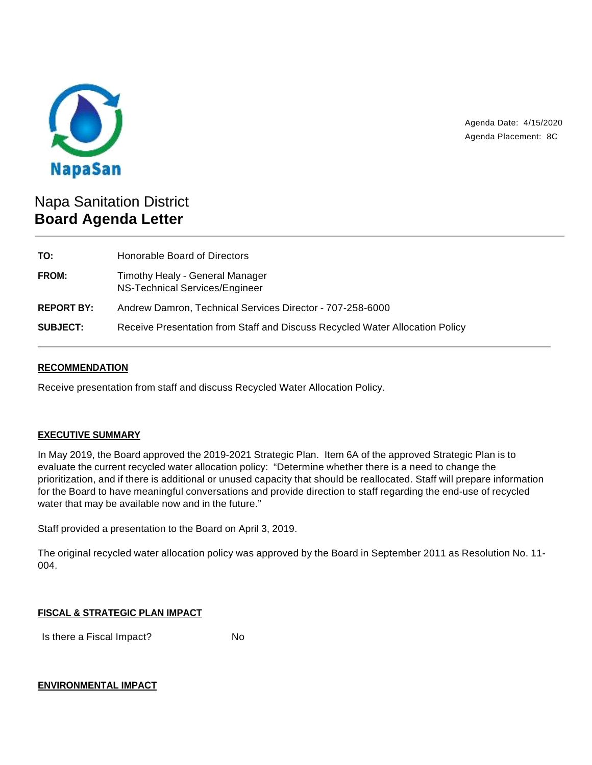

Agenda Date: 4/15/2020 Agenda Placement: 8C

# Napa Sanitation District **Board Agenda Letter**

| Honorable Board of Directors                                                 |
|------------------------------------------------------------------------------|
| Timothy Healy - General Manager<br>NS-Technical Services/Engineer            |
| Andrew Damron, Technical Services Director - 707-258-6000                    |
| Receive Presentation from Staff and Discuss Recycled Water Allocation Policy |
|                                                                              |

## **RECOMMENDATION**

Receive presentation from staff and discuss Recycled Water Allocation Policy.

# **EXECUTIVE SUMMARY**

In May 2019, the Board approved the 2019-2021 Strategic Plan. Item 6A of the approved Strategic Plan is to evaluate the current recycled water allocation policy: "Determine whether there is a need to change the prioritization, and if there is additional or unused capacity that should be reallocated. Staff will prepare information for the Board to have meaningful conversations and provide direction to staff regarding the end-use of recycled water that may be available now and in the future."

Staff provided a presentation to the Board on April 3, 2019.

The original recycled water allocation policy was approved by the Board in September 2011 as Resolution No. 11- 004.

#### **FISCAL & STRATEGIC PLAN IMPACT**

Is there a Fiscal Impact? No

#### **ENVIRONMENTAL IMPACT**